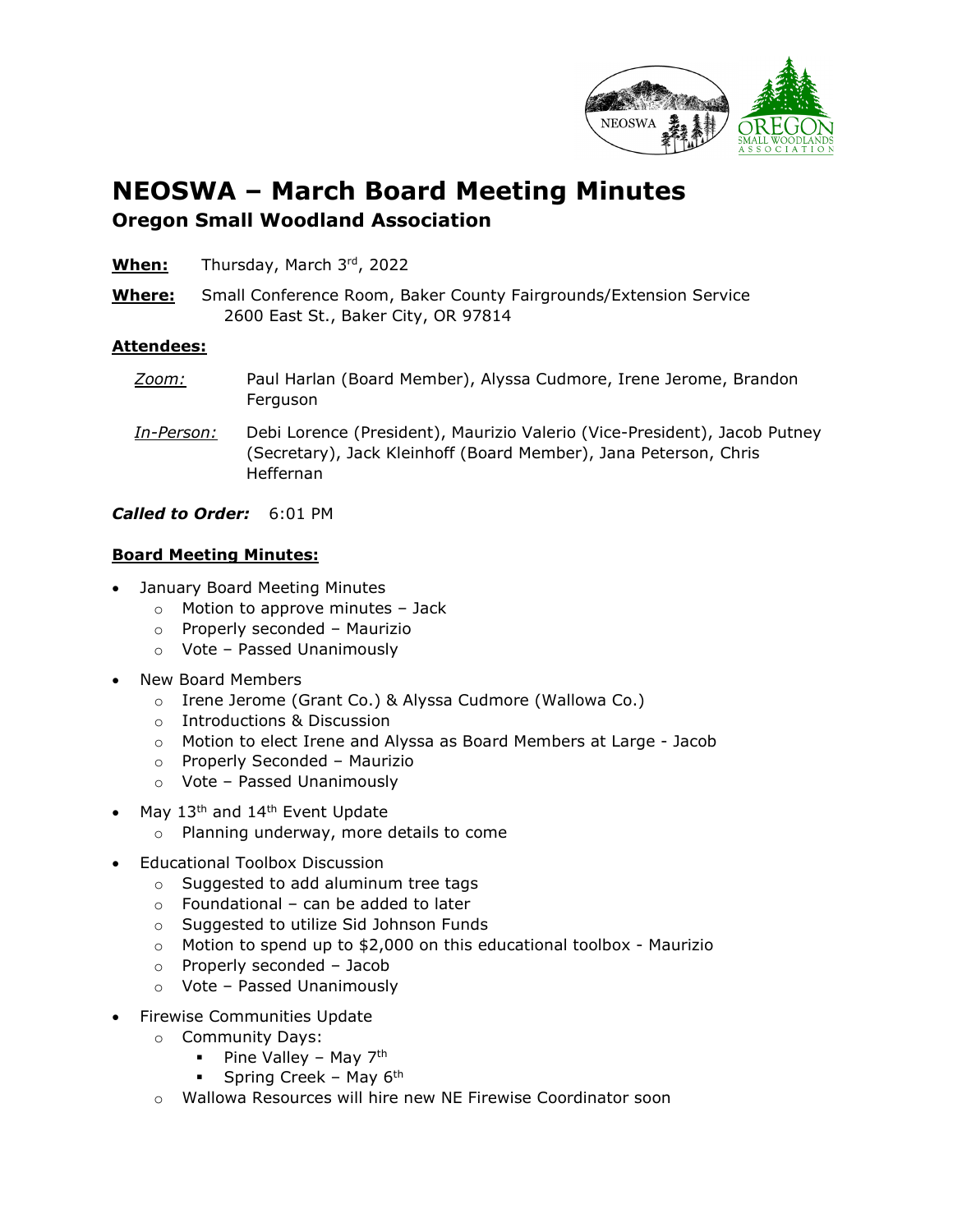

## **NEOSWA – March Board Meeting Minutes Oregon Small Woodland Association**

- **When:** Thursday, March 3rd, 2022
- **Where:** Small Conference Room, Baker County Fairgrounds/Extension Service 2600 East St., Baker City, OR 97814

## **Attendees:**

- *Zoom:* Paul Harlan (Board Member), Alyssa Cudmore, Irene Jerome, Brandon Ferguson *In-Person:* Debi Lorence (President), Maurizio Valerio (Vice-President), Jacob Putney (Secretary), Jack Kleinhoff (Board Member), Jana Peterson, Chris Heffernan
- *Called to Order:* 6:01 PM

## **Board Meeting Minutes:**

- January Board Meeting Minutes
	- $\circ$  Motion to approve minutes Jack
	- o Properly seconded Maurizio
	- o Vote Passed Unanimously
- New Board Members
	- o Irene Jerome (Grant Co.) & Alyssa Cudmore (Wallowa Co.)
	- o Introductions & Discussion
	- o Motion to elect Irene and Alyssa as Board Members at Large Jacob
	- o Properly Seconded Maurizio
	- o Vote Passed Unanimously
- May 13<sup>th</sup> and 14<sup>th</sup> Event Update
	- o Planning underway, more details to come
- Educational Toolbox Discussion
	- o Suggested to add aluminum tree tags
	- $\circ$  Foundational can be added to later
	- o Suggested to utilize Sid Johnson Funds
	- $\circ$  Motion to spend up to \$2,000 on this educational toolbox Maurizio
	- o Properly seconded Jacob
	- o Vote Passed Unanimously
- Firewise Communities Update
	- o Community Days:
		- Pine Valley May  $7<sup>th</sup>$
		- **Spring Creek May 6th**
	- o Wallowa Resources will hire new NE Firewise Coordinator soon